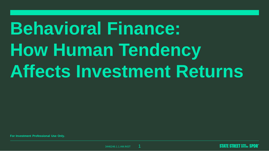# **Behavioral Finance: How Human Tendency Affects Investment Returns**

**For Investment Professional Use Only.**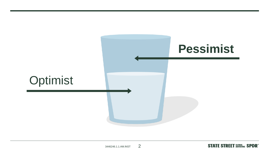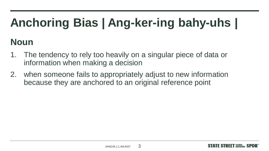# **Anchoring Bias | Ang-ker-ing bahy-uhs |**

## **Noun**

- 1. The tendency to rely too heavily on a singular piece of data or information when making a decision
- 2. when someone fails to appropriately adjust to new information because they are anchored to an original reference point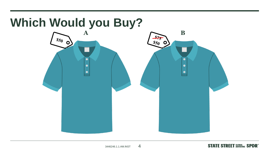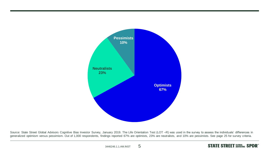

Source: State Street Global Advisors Cognitive Bias Investor Survey, January 2019. The Life Orientation Test (LOT -R) was used in the survey to assess the individuals' differences in generalized optimism versus pessimism. Out of 1,000 respondents, findings reported 67% are optimists, 23% are neutralists, and 10% are pessimists. See page 25 for survey criteria.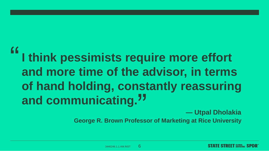## $66$ I think pessimists require more effort and more time of the advisor, in terms of hand holding, constantly reassuring and communicating.<sup>77</sup>

- Utpal Dholakia

**George R. Brown Professor of Marketing at Rice University**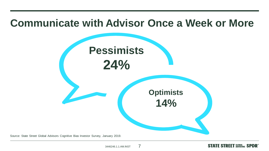## **Communicate with Advisor Once a Week or More**

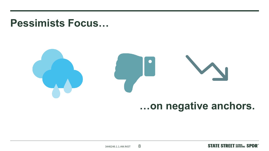## **Pessimists Focus...**



## ...on negative anchors.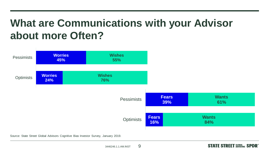## **What are Communications with your Advisor about more Often?**

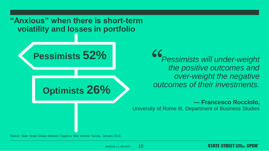**Pessimists 52% Optimists 26% "Anxious" when there is short-term volatility and losses in portfolio**

Source: State Street Global Advisors Cognitive Bias Investor Survey, January 2019.

*Pessimists will under-weight the positive outcomes and over-weight the negative outcomes of their investments.* "

**— Francesco Rocciolo,** 

University of Rome III, Department of Business Studies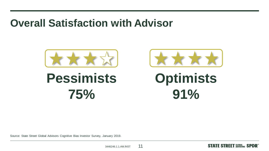## **Overall Satisfaction with Advisor**



# **Pessimists 75%**



```
Optimists
91%
```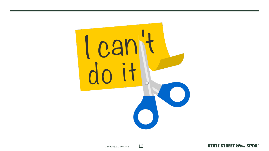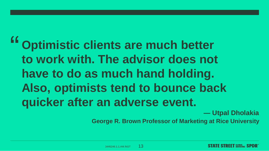## **Optimistic clients are much better to work with. The advisor does not have to do as much hand holding. Also, optimists tend to bounce back quicker after an adverse event.** "<br>"

**— Utpal Dholakia**

**George R. Brown Professor of Marketing at Rice University**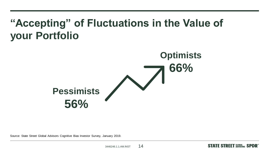## **"Accepting" of Fluctuations in the Value of your Portfolio**

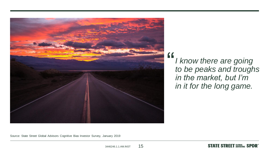

*I know there are going to be peaks and troughs in the market, but I'm in it for the long game.*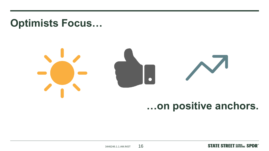## **Optimists Focus...**



## ...on positive anchors.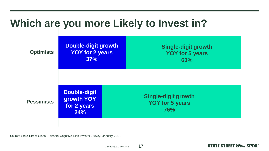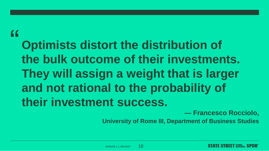## $66$

**Optimists distort the distribution of the bulk outcome of their investments. They will assign a weight that is larger and not rational to the probability of their investment success.**

**— Francesco Rocciolo,** 

**University of Rome III, Department of Business Studies**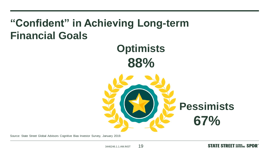## **"Confident" in Achieving Long-term Financial Goals**

**Optimists 88% Pessimists 67%**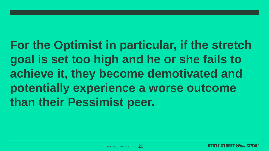**For the Optimist in particular, if the stretch goal is set too high and he or she fails to achieve it, they become demotivated and potentially experience a worse outcome than their Pessimist peer.**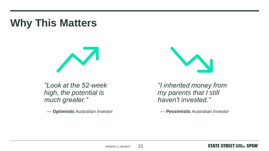**Why This Matters**



*"Look at the 52-week high, the potential is much greater."*

— **Optimistic** Australian Investor



*"I inherited money from my parents that I still haven't invested."*

— **Pessimistic** Australian Investor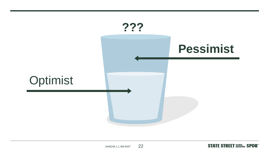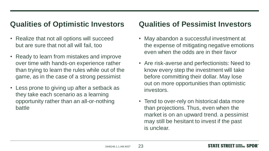## **Qualities of Optimistic Investors Qualities of Pessimist Investors**

- Realize that not all options will succeed but are sure that not all will fail, too
- Ready to learn from mistakes and improve over time with hands-on experience rather than trying to learn the rules while out of the game, as in the case of a strong pessimist
- Less prone to giving up after a setback as they take each scenario as a learning opportunity rather than an all-or-nothing battle

- May abandon a successful investment at the expense of mitigating negative emotions even when the odds are in their favor
- Are risk-averse and perfectionists: Need to know every step the investment will take before committing their dollar. May lose out on more opportunities than optimistic investors.
- Tend to over-rely on historical data more than projections. Thus, even when the market is on an upward trend. a pessimist may still be hesitant to invest if the past is unclear.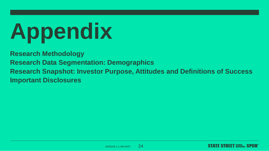# **Appendix**

**Research Methodology Research Data Segmentation: Demographics Research Snapshot: Investor Purpose, Attitudes and Definitions of Success Important Disclosures**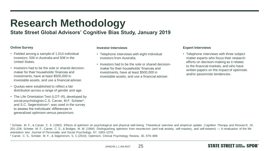## **Research Methodology**

### **State Street Global Advisors' Cognitive Bias Study, January 2019**

### **Online Survey**

- Fielded among a sample of 1,014 individual investors: 506 in Australia and 508 in the United States.
- Investors had to be the sole or shared decisionmaker for their households' finances and investments, have at least \$500,000 in investable assets, and use a financial adviser.
- Quotas were established to reflect a fair distribution across a range of gender and age.
- The Life Orientation Test (LOT–R), developed by social psychologists C.S. Carver, M.F. Scheier<sup>1</sup>, and S.C. Segerststrom<sup>2</sup>, was used in the survey to assess the individuals' differences in generalized optimism versus pessimism.

#### **Investor Interviews**

- Telephone interviews with eight individual investors from Australia.
- Investors had to be the sole or shared decisionmaker for their households' finances and investments, have at least \$500,000 in investable assets, and use a financial adviser.

### **Expert Interviews**

• Telephone interviews with three subject matter experts who focus their research efforts on decision-making as it relates to the financial markets, and who have written papers on the impact of optimistic and/or pessimistic tendencies.

<sup>1</sup> Scheier, M. F., & Carver, C. S. (1992). Effects of optimism on psychological and physical well-being: Theoretical overview and empirical update. *Cognitive Therapy and Research, 16*, 201–228; Scheier, M. F., Carver, C. S., & Bridges, M. W. (1994). Distinguishing optimism from neuroticism (and trait anxiety, self-mastery, and self-esteem) — A revaluation of the life orientation test. *Journal of Personality and Social Psychology, 67*, 1063–1078. <sup>2</sup> Carver, C. S., Scheier, M. F., & Segerstrom, S. C.(2010). Optimism. Clinical Psychology Review, 30, 879–889.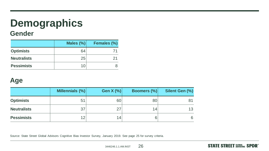# **Demographics**

## **Gender**

|                    | Males $(\%)$ | Females (%) |
|--------------------|--------------|-------------|
| <b>Optimists</b>   | 64           |             |
| <b>Neutralists</b> | 25           |             |
| <b>Pessimists</b>  | 10           |             |

### **Age**

|                    | Millennials (%) | <b>Gen X (%)</b> | <b>Boomers (%)</b> | Silent Gen (%) |
|--------------------|-----------------|------------------|--------------------|----------------|
| <b>Optimists</b>   | 5 <sup>1</sup>  | 60               | 80                 |                |
| <b>Neutralists</b> | 37              | 27               | 14                 | 13             |
| <b>Pessimists</b>  | 12              | 14               |                    |                |

Source: State Street Global Advisors Cognitive Bias Investor Survey, January 2019. See page 25 for survey criteria.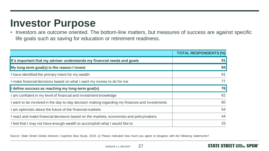## **Investor Purpose**

• Investors are outcome oriented. The bottom-line matters, but measures of success are against specific life goals such as saving for education or retirement readiness.

|                                                                                               | <b>TOTAL RESPONDENTS (%)</b> |
|-----------------------------------------------------------------------------------------------|------------------------------|
| It's important that my adviser understands my financial needs and goals                       | 91                           |
| My long-term goal(s) is the reason I invest                                                   | 84                           |
| I have identified the primary intent for my wealth                                            | 81                           |
| I make financial decisions based on what I want my money to do for me                         | 77                           |
| define success as reaching my long-term goal(s)                                               | 76                           |
| I am confident in my level of financial and investment knowledge                              | 62                           |
| I want to be involved in the day-to-day decision making regarding my finances and investments | 60                           |
| I am optimistic about the future of the financial markets                                     | 54                           |
| I react and make financial decisions based on the markets, economies and policymakers         | 44                           |
| I feel that I may not have enough wealth to accomplish what I would like to                   | 33                           |

Source: State Street Global Advisors Cognitive Bias Study, 2019; Q: Please indicated how much you agree or disagree with the following statements?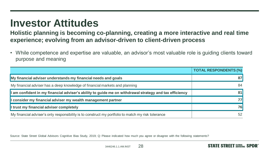## **Investor Attitudes**

## **Holistic planning is becoming co-planning, creating a more interactive and real time experience; evolving from an advisor-driven to client-driven process**

• While competence and expertise are valuable, an advisor's most valuable role is guiding clients toward purpose and meaning

|                                                                                                        | <b>TOTAL RESPONDENTS (%)</b> |
|--------------------------------------------------------------------------------------------------------|------------------------------|
| My financial adviser understands my financial needs and goals                                          |                              |
| My financial adviser has a deep knowledge of financial markets and planning                            | 84                           |
| I am confident in my financial adviser's ability to guide me on withdrawal strategy and tax efficiency | 81                           |
| I consider my financial adviser my wealth management partner                                           |                              |
| I trust my financial adviser completely                                                                | 76                           |
| My financial adviser's only responsibility is to construct my portfolio to match my risk tolerance     | 52                           |

Source: State Street Global Advisors Cognitive Bias Study, 2019; Q: Please indicated how much you agree or disagree with the following statements?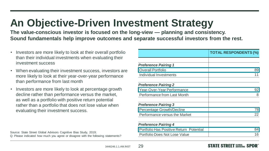## **An Objective-Driven Investment Strategy**

**The value-conscious investor is focused on the long-view — planning and consistency. Sound fundamentals help improve outcomes and separate successful investors from the rest.**

- Investors are more likely to look at their overall portfolio than their individual investments when evaluating their investment success
- When evaluating their investment success, investors are more likely to look at their year-over-year performance than performance from last month
- Investors are more likely to look at percentage growth decline rather than performance versus the market, as well as a portfolio with positive return potential rather than a portfolio that does not lose value when evaluating their investment success.

Source: State Street Global Advisors Cognitive Bias Study, 2019; Q: Please indicated how much you agree or disagree with the following statements?

|                                         | <b>TOTAL RESPONDENTS (%)</b> |
|-----------------------------------------|------------------------------|
|                                         |                              |
| <b>Preference Pairing 1</b>             |                              |
| Overall Portfolio                       | 89                           |
| Individual Investments                  |                              |
| <b>Preference Pairing 2</b>             |                              |
| Year-Over-Year Performance              | 92                           |
| Performance from Last Month             | 8                            |
| <b>Preference Pairing 3</b>             |                              |
| Percentage Growth/Decline               | $\overline{78}$              |
| Performance versus the Market           | 22                           |
| <b>Preference Pairing 4</b>             |                              |
| Portfolio Has Positive Return Potential | 84                           |
| Portfolio Does Not Lose Value           |                              |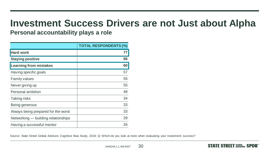## **Investment Success Drivers are not Just about Alpha**

**Personal accountability plays a role** 

|                                     | <b>TOTAL RESPONDENTS (%)</b> |
|-------------------------------------|------------------------------|
| <b>Hard work</b>                    | 77                           |
| <b>Staying positive</b>             | 66                           |
| <b>Learning from mistakes</b>       | 60                           |
| Having specific goals               | 57                           |
| <b>Family values</b>                | 55                           |
| Never giving up                     | 55                           |
| Personal ambition                   | 48                           |
| Taking risks                        | 34                           |
| Being generous                      | 33                           |
| Always being prepared for the worst | 33                           |
| Networking — building relationships | 29                           |
| Having a successful mentor          | 26                           |

Source: State Street Global Advisors Cognitive Bias Study, 2019; Q: Which do you look at more when evaluating your investment success?